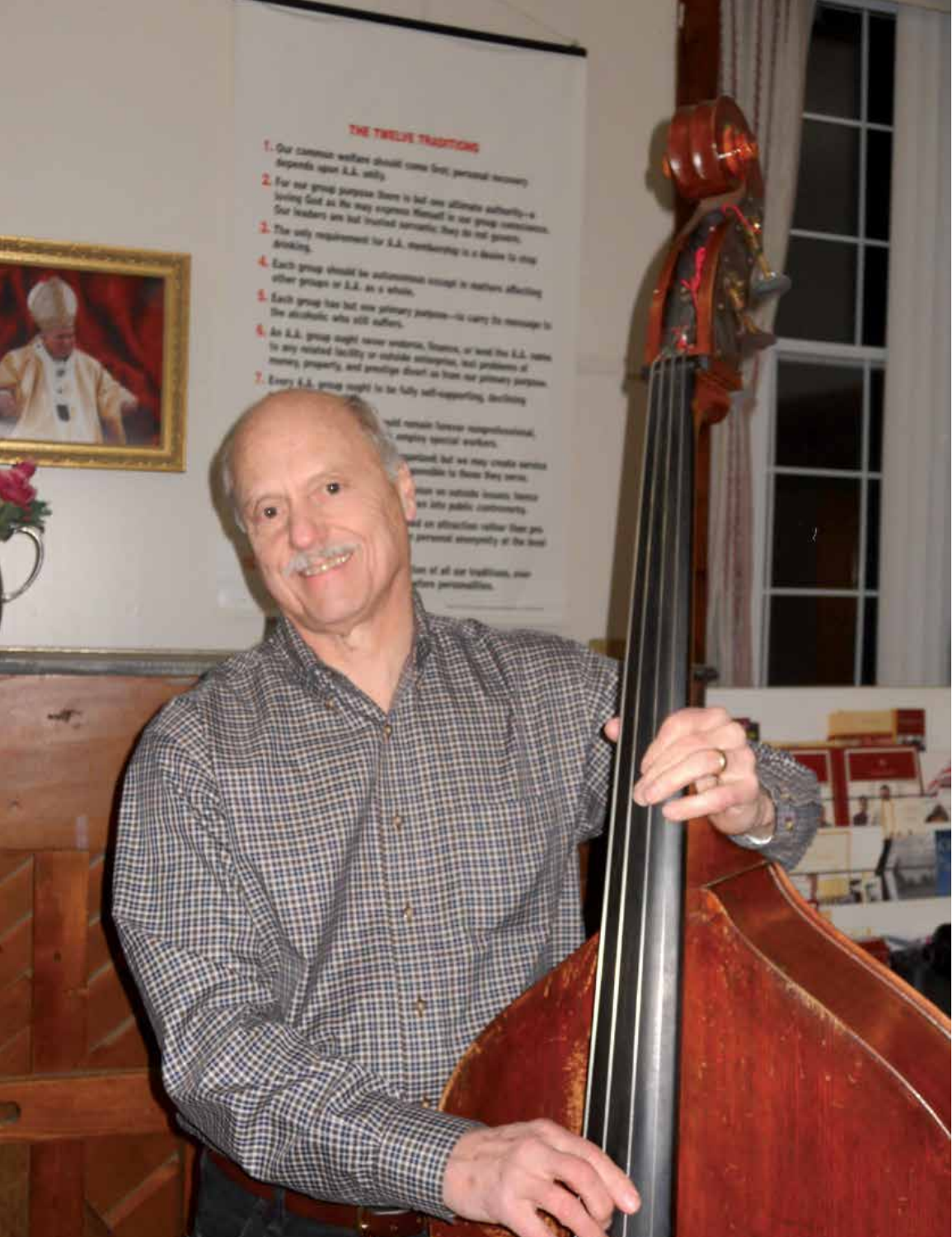### THE TWILLIT TRADITIONS

## 1. Our cannons waters should care from process normal

- 
- $2.$  For one group particular finite is full our primer materials of the last the distribution of the state of the state of the state of the state of the state of the state of the state of the state of the state of the st the leaders are led insting severals they in my green.
- 2. The sets requirement for £.2. members of its at the set
- 4. Each group should be automobile to the following the company of the company
- 
- 5. Each group has helt was primary preferred in carry to ensure to
- 4. As A.A. group might never contenue, finance, or next the A.A. name In my reseted locating or extrated anterprise, and problems of ments) property and prestige direct as from my present persons
- 7. Every 4.5. years might to be fully refinished by the form

酉

:::::::

 $\alpha$ 

will recall forms responsibility **Angles Section Product** 

primed but we may create service provided to finance State names.

**PARK ON SURFACE GROUND TRANSA** as her public continuests.

of an attractive value then propresent stamped; if he loss

ten of all air traditions, may fore permeabilities.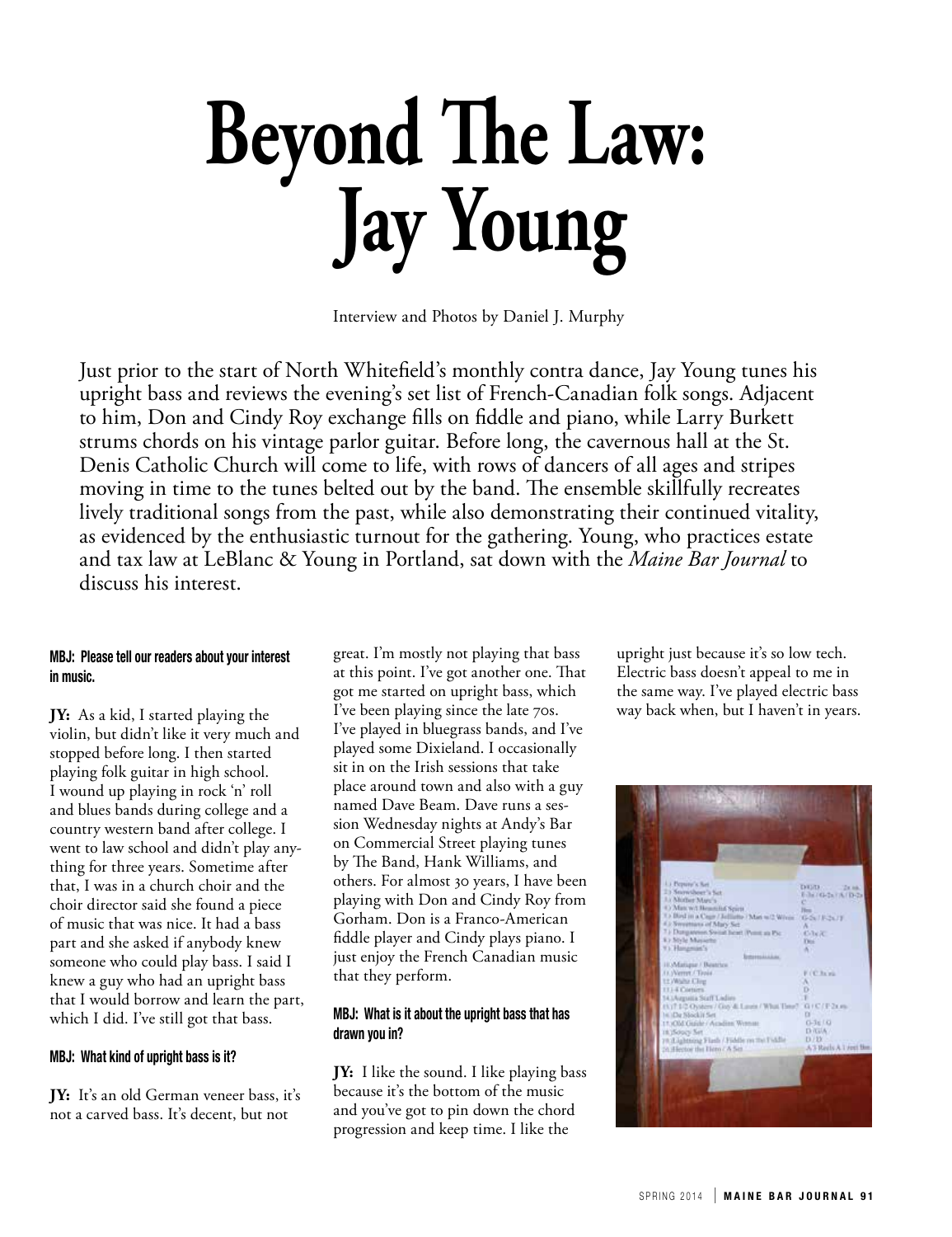# **Beyond The Law: Jay Young**

Interview and Photos by Daniel J. Murphy

Just prior to the start of North Whitefield's monthly contra dance, Jay Young tunes his upright bass and reviews the evening's set list of French-Canadian folk songs. Adjacent to him, Don and Cindy Roy exchange fills on fiddle and piano, while Larry Burkett strums chords on his vintage parlor guitar. Before long, the cavernous hall at the St. Denis Catholic Church will come to life, with rows of dancers of all ages and stripes moving in time to the tunes belted out by the band. The ensemble skillfully recreates lively traditional songs from the past, while also demonstrating their continued vitality, as evidenced by the enthusiastic turnout for the gathering. Young, who practices estate and tax law at LeBlanc & Young in Portland, sat down with the *Maine Bar Journal* to discuss his interest.

#### MBJ: Please tell our readers about your interest in music.

**JY:** As a kid, I started playing the violin, but didn't like it very much and stopped before long. I then started playing folk guitar in high school. I wound up playing in rock 'n' roll and blues bands during college and a country western band after college. I went to law school and didn't play anything for three years. Sometime after that, I was in a church choir and the choir director said she found a piece of music that was nice. It had a bass part and she asked if anybody knew someone who could play bass. I said I knew a guy who had an upright bass that I would borrow and learn the part, which I did. I've still got that bass.

#### MBJ: What kind of upright bass is it?

**JY:** It's an old German veneer bass, it's not a carved bass. It's decent, but not

great. I'm mostly not playing that bass at this point. I've got another one. That got me started on upright bass, which I've been playing since the late 70s. I've played in bluegrass bands, and I've played some Dixieland. I occasionally sit in on the Irish sessions that take place around town and also with a guy named Dave Beam. Dave runs a session Wednesday nights at Andy's Bar on Commercial Street playing tunes by The Band, Hank Williams, and others. For almost 30 years, I have been playing with Don and Cindy Roy from Gorham. Don is a Franco-American fiddle player and Cindy plays piano. I just enjoy the French Canadian music that they perform.

#### MBJ: What is it about the upright bass that has drawn you in?

**JY:** I like the sound. I like playing bass because it's the bottom of the music and you've got to pin down the chord progression and keep time. I like the

upright just because it's so low tech. Electric bass doesn't appeal to me in the same way. I've played electric bass way back when, but I haven't in years.

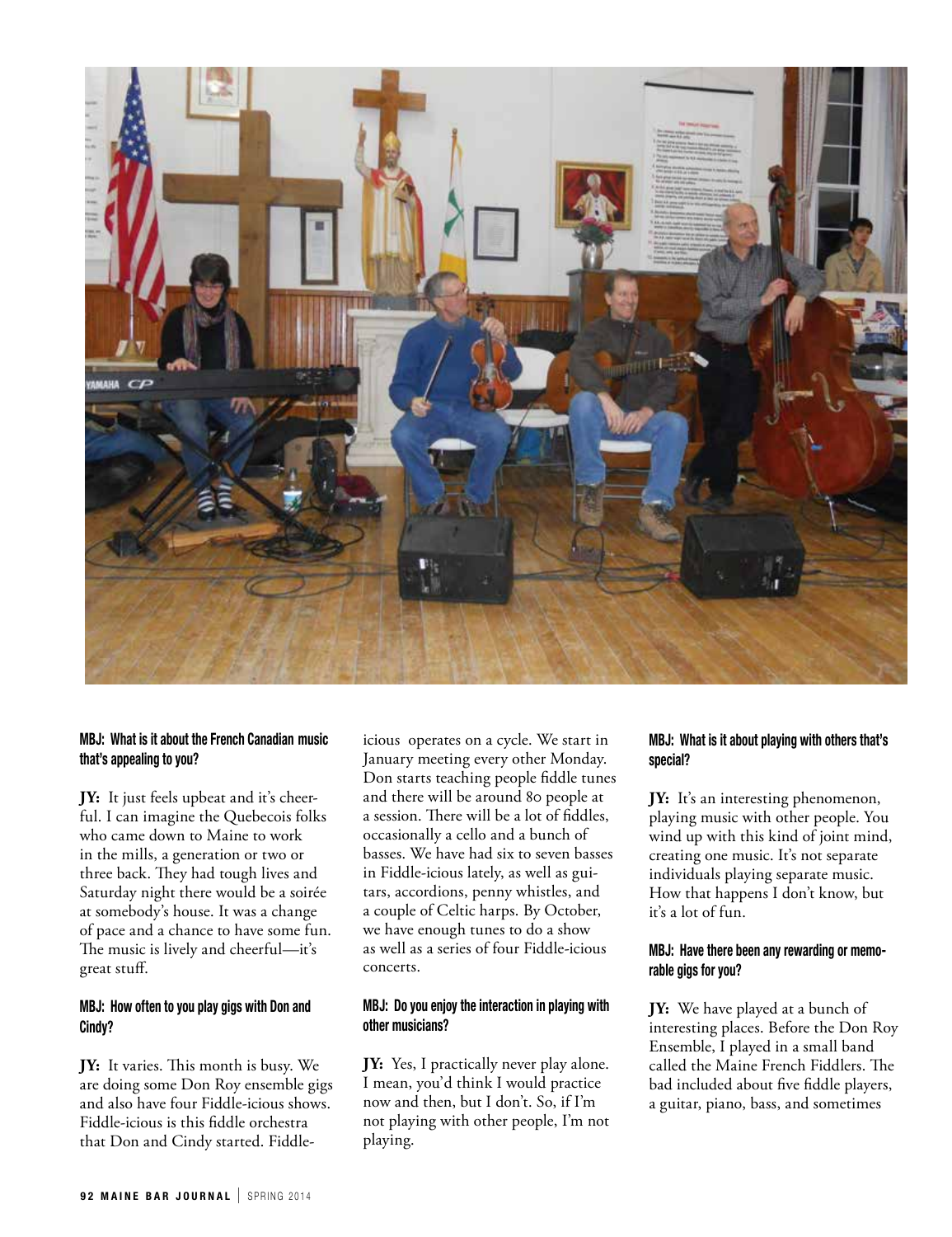

#### MBJ: What is it about the French Canadian music that's appealing to you?

**JY:** It just feels upbeat and it's cheerful. I can imagine the Quebecois folks who came down to Maine to work in the mills, a generation or two or three back. They had tough lives and Saturday night there would be a soirée at somebody's house. It was a change of pace and a chance to have some fun. The music is lively and cheerful—it's great stuff.

#### MBJ: How often to you play gigs with Don and Cindy?

**JY:** It varies. This month is busy. We are doing some Don Roy ensemble gigs and also have four Fiddle-icious shows. Fiddle-icious is this fiddle orchestra that Don and Cindy started. Fiddle-

icious operates on a cycle. We start in January meeting every other Monday. Don starts teaching people fiddle tunes and there will be around 80 people at a session. There will be a lot of fiddles, occasionally a cello and a bunch of basses. We have had six to seven basses in Fiddle-icious lately, as well as guitars, accordions, penny whistles, and a couple of Celtic harps. By October, we have enough tunes to do a show as well as a series of four Fiddle-icious concerts.

#### MBJ: Do you enjoy the interaction in playing with other musicians?

**JY:** Yes, I practically never play alone. I mean, you'd think I would practice now and then, but I don't. So, if I'm not playing with other people, I'm not playing.

#### MBJ: What is it about playing with others that's special?

**JY:** It's an interesting phenomenon, playing music with other people. You wind up with this kind of joint mind, creating one music. It's not separate individuals playing separate music. How that happens I don't know, but it's a lot of fun.

#### MBJ: Have there been any rewarding or memorable gigs for you?

**JY:** We have played at a bunch of interesting places. Before the Don Roy Ensemble, I played in a small band called the Maine French Fiddlers. The bad included about five fiddle players, a guitar, piano, bass, and sometimes